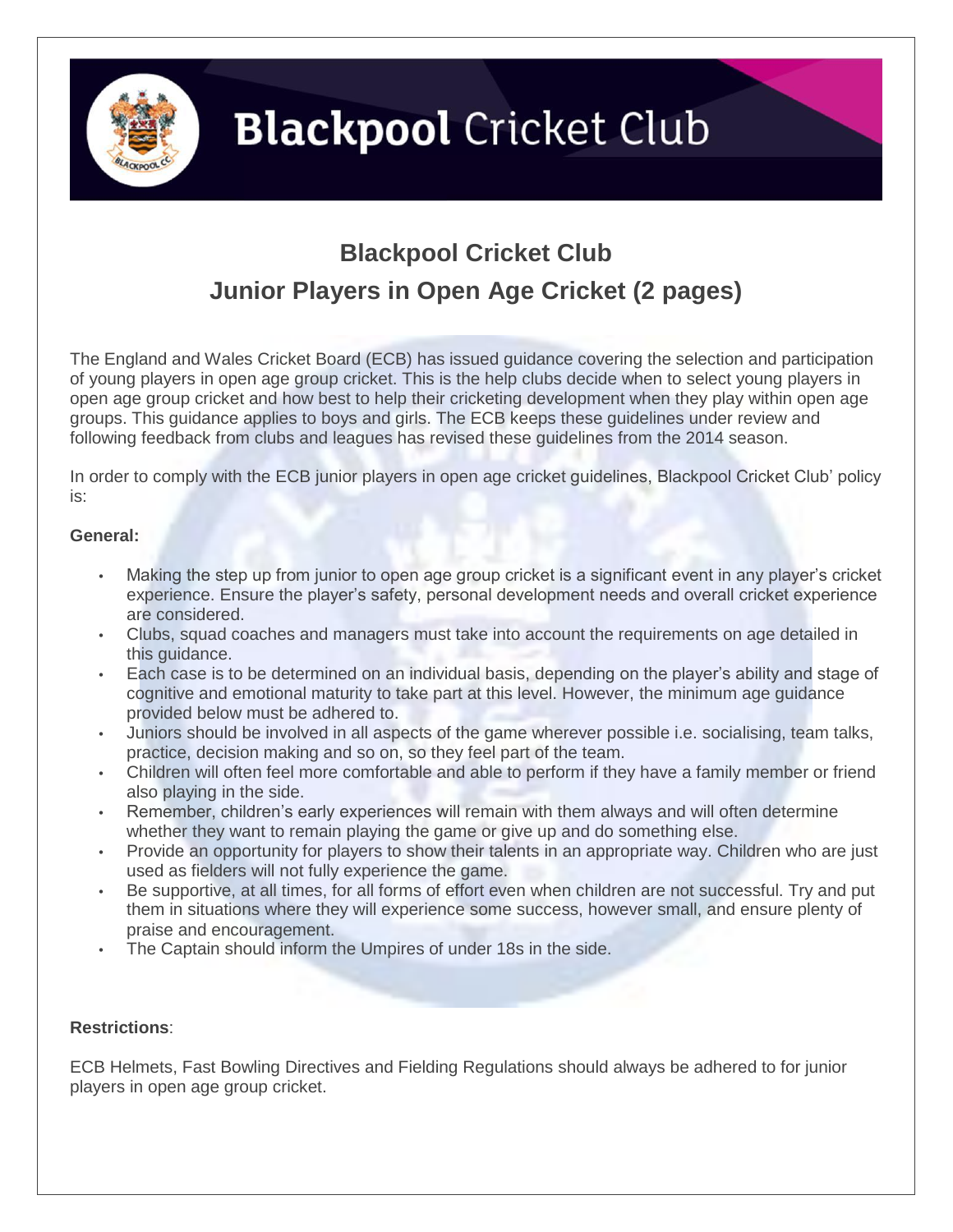

## **Blackpool** Cricket Club

### **Blackpool Cricket Club Junior Players in Open Age Cricket (2 pages)**

The England and Wales Cricket Board (ECB) has issued guidance covering the selection and participation of young players in open age group cricket. This is the help clubs decide when to select young players in open age group cricket and how best to help their cricketing development when they play within open age groups. This guidance applies to boys and girls. The ECB keeps these guidelines under review and following feedback from clubs and leagues has revised these guidelines from the 2014 season.

In order to comply with the ECB junior players in open age cricket guidelines, Blackpool Cricket Club' policy is:

#### **General:**

- Making the step up from junior to open age group cricket is a significant event in any player's cricket experience. Ensure the player's safety, personal development needs and overall cricket experience are considered.
- Clubs, squad coaches and managers must take into account the requirements on age detailed in this guidance.
- Each case is to be determined on an individual basis, depending on the player's ability and stage of cognitive and emotional maturity to take part at this level. However, the minimum age guidance provided below must be adhered to.
- Juniors should be involved in all aspects of the game wherever possible i.e. socialising, team talks, practice, decision making and so on, so they feel part of the team.
- Children will often feel more comfortable and able to perform if they have a family member or friend also playing in the side.
- Remember, children's early experiences will remain with them always and will often determine whether they want to remain playing the game or give up and do something else.
- Provide an opportunity for players to show their talents in an appropriate way. Children who are just used as fielders will not fully experience the game.
- Be supportive, at all times, for all forms of effort even when children are not successful. Try and put them in situations where they will experience some success, however small, and ensure plenty of praise and encouragement.
- The Captain should inform the Umpires of under 18s in the side.

#### **Restrictions**:

ECB Helmets, Fast Bowling Directives and Fielding Regulations should always be adhered to for junior players in open age group cricket.